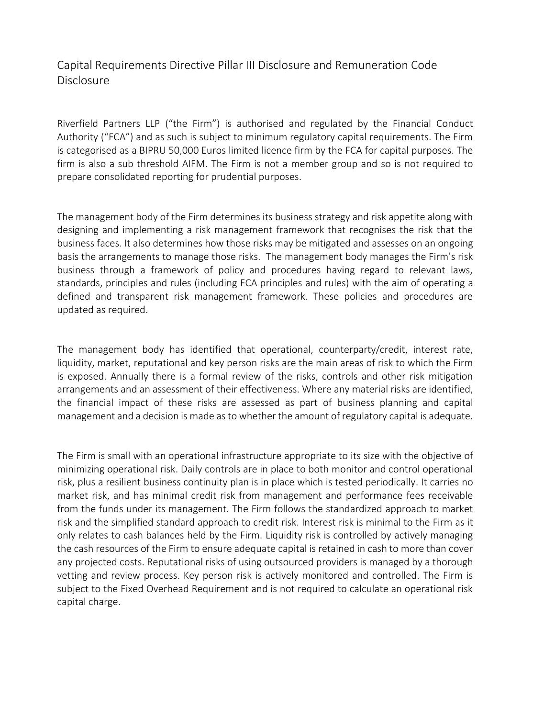## Capital Requirements Directive Pillar III Disclosure and Remuneration Code **Disclosure**

Riverfield Partners LLP ("the Firm") is authorised and regulated by the Financial Conduct Authority ("FCA") and as such is subject to minimum regulatory capital requirements. The Firm is categorised as a BIPRU 50,000 Euros limited licence firm by the FCA for capital purposes. The firm is also a sub threshold AIFM. The Firm is not a member group and so is not required to prepare consolidated reporting for prudential purposes.

The management body of the Firm determines its business strategy and risk appetite along with designing and implementing a risk management framework that recognises the risk that the business faces. It also determines how those risks may be mitigated and assesses on an ongoing basis the arrangements to manage those risks. The management body manages the Firm's risk business through a framework of policy and procedures having regard to relevant laws, standards, principles and rules (including FCA principles and rules) with the aim of operating a defined and transparent risk management framework. These policies and procedures are updated as required.

The management body has identified that operational, counterparty/credit, interest rate, liquidity, market, reputational and key person risks are the main areas of risk to which the Firm is exposed. Annually there is a formal review of the risks, controls and other risk mitigation arrangements and an assessment of their effectiveness. Where any material risks are identified, the financial impact of these risks are assessed as part of business planning and capital management and a decision is made as to whether the amount of regulatory capital is adequate.

The Firm is small with an operational infrastructure appropriate to its size with the objective of minimizing operational risk. Daily controls are in place to both monitor and control operational risk, plus a resilient business continuity plan is in place which is tested periodically. It carries no market risk, and has minimal credit risk from management and performance fees receivable from the funds under its management. The Firm follows the standardized approach to market risk and the simplified standard approach to credit risk. Interest risk is minimal to the Firm as it only relates to cash balances held by the Firm. Liquidity risk is controlled by actively managing the cash resources of the Firm to ensure adequate capital is retained in cash to more than cover any projected costs. Reputational risks of using outsourced providers is managed by a thorough vetting and review process. Key person risk is actively monitored and controlled. The Firm is subject to the Fixed Overhead Requirement and is not required to calculate an operational risk capital charge.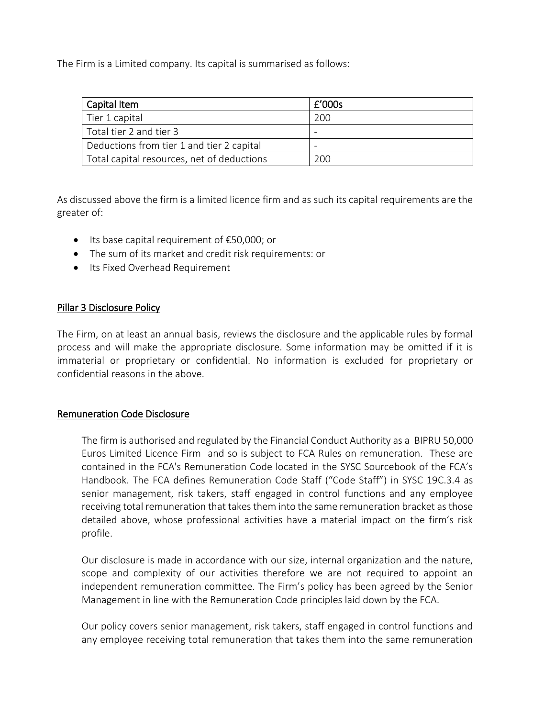The Firm is a Limited company. Its capital is summarised as follows:

| Capital Item                               | £'000s |
|--------------------------------------------|--------|
| Tier 1 capital                             | 200    |
| Total tier 2 and tier 3                    |        |
| Deductions from tier 1 and tier 2 capital  |        |
| Total capital resources, net of deductions | 200    |

As discussed above the firm is a limited licence firm and as such its capital requirements are the greater of:

- Its base capital requirement of €50,000; or
- The sum of its market and credit risk requirements: or
- Its Fixed Overhead Requirement

## Pillar 3 Disclosure Policy

The Firm, on at least an annual basis, reviews the disclosure and the applicable rules by formal process and will make the appropriate disclosure. Some information may be omitted if it is immaterial or proprietary or confidential. No information is excluded for proprietary or confidential reasons in the above.

## Remuneration Code Disclosure

The firm is authorised and regulated by the Financial Conduct Authority as a BIPRU 50,000 Euros Limited Licence Firm and so is subject to FCA Rules on remuneration. These are contained in the FCA's Remuneration Code located in the SYSC Sourcebook of the FCA's Handbook. The FCA defines Remuneration Code Staff ("Code Staff") in SYSC 19C.3.4 as senior management, risk takers, staff engaged in control functions and any employee receiving total remuneration that takes them into the same remuneration bracket as those detailed above, whose professional activities have a material impact on the firm's risk profile.

Our disclosure is made in accordance with our size, internal organization and the nature, scope and complexity of our activities therefore we are not required to appoint an independent remuneration committee. The Firm's policy has been agreed by the Senior Management in line with the Remuneration Code principles laid down by the FCA.

Our policy covers senior management, risk takers, staff engaged in control functions and any employee receiving total remuneration that takes them into the same remuneration